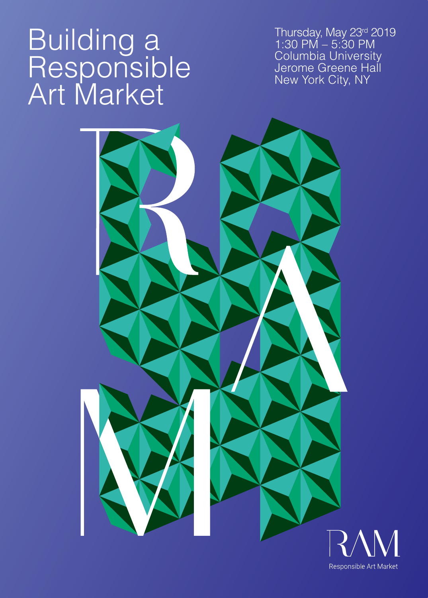# Building a Responsible Art Market

Thursday, May 23rd 2019 1:30 PM – 5:30 PM Columbia University Jerome Greene Hall New York City, NY



Responsible Art Market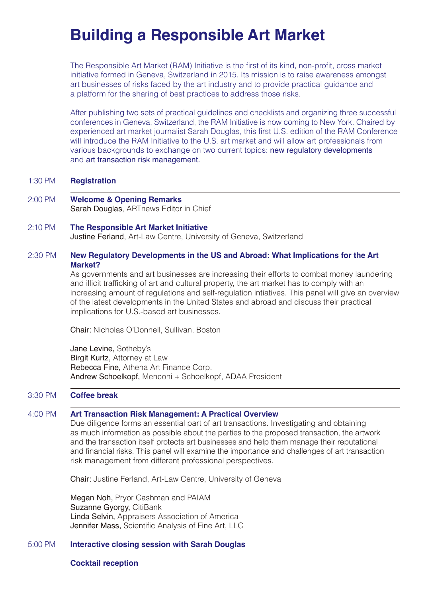## **Building a Responsible Art Market**

The Responsible Art Market (RAM) Initiative is the first of its kind, non-profit, cross market initiative formed in Geneva, Switzerland in 2015. Its mission is to raise awareness amongst art businesses of risks faced by the art industry and to provide practical guidance and a platform for the sharing of best practices to address those risks.

After publishing two sets of practical guidelines and checklists and organizing three successful conferences in Geneva, Switzerland, the RAM Initiative is now coming to New York. Chaired by experienced art market journalist Sarah Douglas, this first U.S. edition of the RAM Conference will introduce the RAM Initiative to the U.S. art market and will allow art professionals from various backgrounds to exchange on two current topics: new regulatory developments and art transaction risk management.

#### 1:30 PM **Registration**

- 2:00 PM **Welcome & Opening Remarks** Sarah Douglas, ARTnews Editor in Chief
- 2:10 PM **The Responsible Art Market Initiative** Justine Ferland, Art-Law Centre, University of Geneva, Switzerland

#### 2:30 PM **New Regulatory Developments in the US and Abroad: What Implications for the Art Market?**

As governments and art businesses are increasing their efforts to combat money laundering and illicit trafficking of art and cultural property, the art market has to comply with an increasing amount of regulations and self-regulation intiatives. This panel will give an overview of the latest developments in the United States and abroad and discuss their practical implications for U.S.-based art businesses.

Chair: Nicholas O'Donnell, Sullivan, Boston

Jane Levine, Sotheby's Birgit Kurtz, Attorney at Law Rebecca Fine, Athena Art Finance Corp. Andrew Schoelkopf, Menconi + Schoelkopf, ADAA President

#### 3:30 PM **Coffee break**

#### 4:00 PM **Art Transaction Risk Management: A Practical Overview**

Due diligence forms an essential part of art transactions. Investigating and obtaining as much information as possible about the parties to the proposed transaction, the artwork and the transaction itself protects art businesses and help them manage their reputational and financial risks. This panel will examine the importance and challenges of art transaction risk management from different professional perspectives.

Chair: Justine Ferland, Art-Law Centre, University of Geneva

Megan Noh, Pryor Cashman and PAIAM Suzanne Gyorgy, CitiBank Linda Selvin, Appraisers Association of America Jennifer Mass, Scientific Analysis of Fine Art, LLC

#### 5:00 PM **Interactive closing session with Sarah Douglas**

### **Cocktail reception**